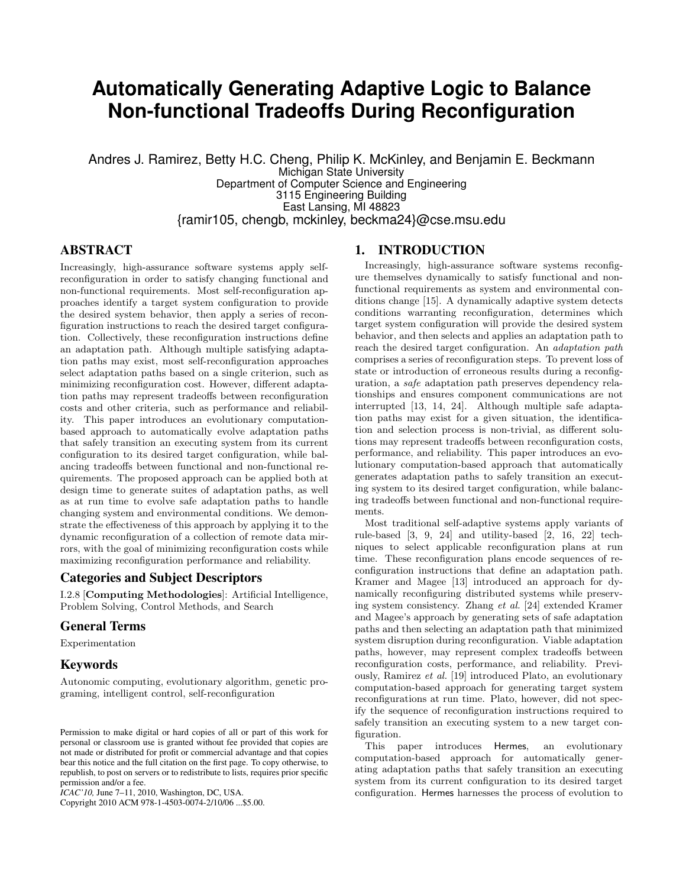# **Automatically Generating Adaptive Logic to Balance Non-functional Tradeoffs During Reconfiguration**

Andres J. Ramirez, Betty H.C. Cheng, Philip K. McKinley, and Benjamin E. Beckmann

Michigan State University Department of Computer Science and Engineering 3115 Engineering Building East Lansing, MI 48823 {ramir105, chengb, mckinley, beckma24}@cse.msu.edu

# ABSTRACT

Increasingly, high-assurance software systems apply selfreconfiguration in order to satisfy changing functional and non-functional requirements. Most self-reconfiguration approaches identify a target system configuration to provide the desired system behavior, then apply a series of reconfiguration instructions to reach the desired target configuration. Collectively, these reconfiguration instructions define an adaptation path. Although multiple satisfying adaptation paths may exist, most self-reconfiguration approaches select adaptation paths based on a single criterion, such as minimizing reconfiguration cost. However, different adaptation paths may represent tradeoffs between reconfiguration costs and other criteria, such as performance and reliability. This paper introduces an evolutionary computationbased approach to automatically evolve adaptation paths that safely transition an executing system from its current configuration to its desired target configuration, while balancing tradeoffs between functional and non-functional requirements. The proposed approach can be applied both at design time to generate suites of adaptation paths, as well as at run time to evolve safe adaptation paths to handle changing system and environmental conditions. We demonstrate the effectiveness of this approach by applying it to the dynamic reconfiguration of a collection of remote data mirrors, with the goal of minimizing reconfiguration costs while maximizing reconfiguration performance and reliability.

# Categories and Subject Descriptors

I.2.8 [Computing Methodologies]: Artificial Intelligence, Problem Solving, Control Methods, and Search

## General Terms

Experimentation

## Keywords

Autonomic computing, evolutionary algorithm, genetic programing, intelligent control, self-reconfiguration

Copyright 2010 ACM 978-1-4503-0074-2/10/06 ...\$5.00.

## 1. INTRODUCTION

Increasingly, high-assurance software systems reconfigure themselves dynamically to satisfy functional and nonfunctional requirements as system and environmental conditions change [15]. A dynamically adaptive system detects conditions warranting reconfiguration, determines which target system configuration will provide the desired system behavior, and then selects and applies an adaptation path to reach the desired target configuration. An adaptation path comprises a series of reconfiguration steps. To prevent loss of state or introduction of erroneous results during a reconfiguration, a safe adaptation path preserves dependency relationships and ensures component communications are not interrupted [13, 14, 24]. Although multiple safe adaptation paths may exist for a given situation, the identification and selection process is non-trivial, as different solutions may represent tradeoffs between reconfiguration costs, performance, and reliability. This paper introduces an evolutionary computation-based approach that automatically generates adaptation paths to safely transition an executing system to its desired target configuration, while balancing tradeoffs between functional and non-functional requirements.

Most traditional self-adaptive systems apply variants of rule-based [3, 9, 24] and utility-based [2, 16, 22] techniques to select applicable reconfiguration plans at run time. These reconfiguration plans encode sequences of reconfiguration instructions that define an adaptation path. Kramer and Magee [13] introduced an approach for dynamically reconfiguring distributed systems while preserving system consistency. Zhang et al. [24] extended Kramer and Magee's approach by generating sets of safe adaptation paths and then selecting an adaptation path that minimized system disruption during reconfiguration. Viable adaptation paths, however, may represent complex tradeoffs between reconfiguration costs, performance, and reliability. Previously, Ramirez et al. [19] introduced Plato, an evolutionary computation-based approach for generating target system reconfigurations at run time. Plato, however, did not specify the sequence of reconfiguration instructions required to safely transition an executing system to a new target configuration.

This paper introduces Hermes, an evolutionary computation-based approach for automatically generating adaptation paths that safely transition an executing system from its current configuration to its desired target configuration. Hermes harnesses the process of evolution to

Permission to make digital or hard copies of all or part of this work for personal or classroom use is granted without fee provided that copies are not made or distributed for profit or commercial advantage and that copies bear this notice and the full citation on the first page. To copy otherwise, to republish, to post on servers or to redistribute to lists, requires prior specific permission and/or a fee.

*ICAC'10,* June 7–11, 2010, Washington, DC, USA.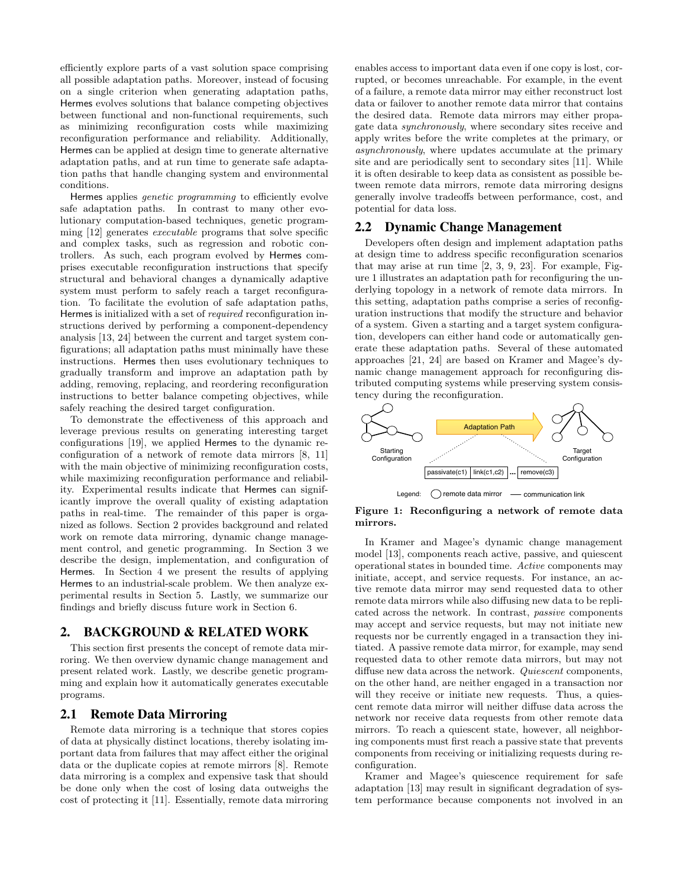efficiently explore parts of a vast solution space comprising all possible adaptation paths. Moreover, instead of focusing on a single criterion when generating adaptation paths, Hermes evolves solutions that balance competing objectives between functional and non-functional requirements, such as minimizing reconfiguration costs while maximizing reconfiguration performance and reliability. Additionally, Hermes can be applied at design time to generate alternative adaptation paths, and at run time to generate safe adaptation paths that handle changing system and environmental conditions.

Hermes applies *genetic programming* to efficiently evolve safe adaptation paths. In contrast to many other evolutionary computation-based techniques, genetic programming [12] generates executable programs that solve specific and complex tasks, such as regression and robotic controllers. As such, each program evolved by Hermes comprises executable reconfiguration instructions that specify structural and behavioral changes a dynamically adaptive system must perform to safely reach a target reconfiguration. To facilitate the evolution of safe adaptation paths, Hermes is initialized with a set of required reconfiguration instructions derived by performing a component-dependency analysis [13, 24] between the current and target system configurations; all adaptation paths must minimally have these instructions. Hermes then uses evolutionary techniques to gradually transform and improve an adaptation path by adding, removing, replacing, and reordering reconfiguration instructions to better balance competing objectives, while safely reaching the desired target configuration.

To demonstrate the effectiveness of this approach and leverage previous results on generating interesting target configurations [19], we applied Hermes to the dynamic reconfiguration of a network of remote data mirrors [8, 11] with the main objective of minimizing reconfiguration costs, while maximizing reconfiguration performance and reliability. Experimental results indicate that Hermes can significantly improve the overall quality of existing adaptation paths in real-time. The remainder of this paper is organized as follows. Section 2 provides background and related work on remote data mirroring, dynamic change management control, and genetic programming. In Section 3 we describe the design, implementation, and configuration of Hermes. In Section 4 we present the results of applying Hermes to an industrial-scale problem. We then analyze experimental results in Section 5. Lastly, we summarize our findings and briefly discuss future work in Section 6.

#### 2. BACKGROUND & RELATED WORK

This section first presents the concept of remote data mirroring. We then overview dynamic change management and present related work. Lastly, we describe genetic programming and explain how it automatically generates executable programs.

## 2.1 Remote Data Mirroring

Remote data mirroring is a technique that stores copies of data at physically distinct locations, thereby isolating important data from failures that may affect either the original data or the duplicate copies at remote mirrors [8]. Remote data mirroring is a complex and expensive task that should be done only when the cost of losing data outweighs the cost of protecting it [11]. Essentially, remote data mirroring enables access to important data even if one copy is lost, corrupted, or becomes unreachable. For example, in the event of a failure, a remote data mirror may either reconstruct lost data or failover to another remote data mirror that contains the desired data. Remote data mirrors may either propagate data synchronously, where secondary sites receive and apply writes before the write completes at the primary, or asynchronously, where updates accumulate at the primary site and are periodically sent to secondary sites [11]. While it is often desirable to keep data as consistent as possible between remote data mirrors, remote data mirroring designs generally involve tradeoffs between performance, cost, and potential for data loss.

## 2.2 Dynamic Change Management

Developers often design and implement adaptation paths at design time to address specific reconfiguration scenarios that may arise at run time [2, 3, 9, 23]. For example, Figure 1 illustrates an adaptation path for reconfiguring the underlying topology in a network of remote data mirrors. In this setting, adaptation paths comprise a series of reconfiguration instructions that modify the structure and behavior of a system. Given a starting and a target system configuration, developers can either hand code or automatically generate these adaptation paths. Several of these automated approaches [21, 24] are based on Kramer and Magee's dynamic change management approach for reconfiguring distributed computing systems while preserving system consistency during the reconfiguration.



Figure 1: Reconfiguring a network of remote data mirrors.

In Kramer and Magee's dynamic change management model [13], components reach active, passive, and quiescent operational states in bounded time. Active components may initiate, accept, and service requests. For instance, an active remote data mirror may send requested data to other remote data mirrors while also diffusing new data to be replicated across the network. In contrast, passive components may accept and service requests, but may not initiate new requests nor be currently engaged in a transaction they initiated. A passive remote data mirror, for example, may send requested data to other remote data mirrors, but may not diffuse new data across the network. Quiescent components, on the other hand, are neither engaged in a transaction nor will they receive or initiate new requests. Thus, a quiescent remote data mirror will neither diffuse data across the network nor receive data requests from other remote data mirrors. To reach a quiescent state, however, all neighboring components must first reach a passive state that prevents components from receiving or initializing requests during reconfiguration.

Kramer and Magee's quiescence requirement for safe adaptation [13] may result in significant degradation of system performance because components not involved in an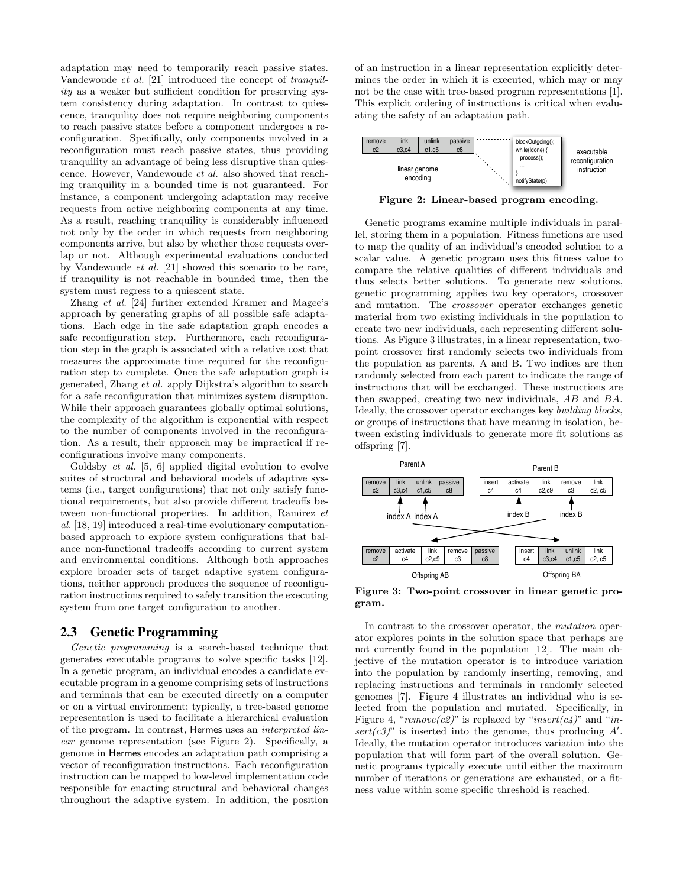adaptation may need to temporarily reach passive states. Vandewoude et al. [21] introduced the concept of tranquil $ity$  as a weaker but sufficient condition for preserving system consistency during adaptation. In contrast to quiescence, tranquility does not require neighboring components to reach passive states before a component undergoes a reconfiguration. Specifically, only components involved in a reconfiguration must reach passive states, thus providing tranquility an advantage of being less disruptive than quiescence. However, Vandewoude et al. also showed that reaching tranquility in a bounded time is not guaranteed. For instance, a component undergoing adaptation may receive requests from active neighboring components at any time. As a result, reaching tranquility is considerably influenced not only by the order in which requests from neighboring components arrive, but also by whether those requests overlap or not. Although experimental evaluations conducted by Vandewoude et al. [21] showed this scenario to be rare, if tranquility is not reachable in bounded time, then the system must regress to a quiescent state.

Zhang et al. [24] further extended Kramer and Magee's approach by generating graphs of all possible safe adaptations. Each edge in the safe adaptation graph encodes a safe reconfiguration step. Furthermore, each reconfiguration step in the graph is associated with a relative cost that measures the approximate time required for the reconfiguration step to complete. Once the safe adaptation graph is generated, Zhang et al. apply Dijkstra's algorithm to search for a safe reconfiguration that minimizes system disruption. While their approach guarantees globally optimal solutions, the complexity of the algorithm is exponential with respect to the number of components involved in the reconfiguration. As a result, their approach may be impractical if reconfigurations involve many components.

Goldsby et al. [5, 6] applied digital evolution to evolve suites of structural and behavioral models of adaptive systems (i.e., target configurations) that not only satisfy functional requirements, but also provide different tradeoffs between non-functional properties. In addition, Ramirez et al. [18, 19] introduced a real-time evolutionary computationbased approach to explore system configurations that balance non-functional tradeoffs according to current system and environmental conditions. Although both approaches explore broader sets of target adaptive system configurations, neither approach produces the sequence of reconfiguration instructions required to safely transition the executing system from one target configuration to another.

#### 2.3 Genetic Programming

Genetic programming is a search-based technique that generates executable programs to solve specific tasks [12]. In a genetic program, an individual encodes a candidate executable program in a genome comprising sets of instructions and terminals that can be executed directly on a computer or on a virtual environment; typically, a tree-based genome representation is used to facilitate a hierarchical evaluation of the program. In contrast, Hermes uses an interpreted linear genome representation (see Figure 2). Specifically, a genome in Hermes encodes an adaptation path comprising a vector of reconfiguration instructions. Each reconfiguration instruction can be mapped to low-level implementation code responsible for enacting structural and behavioral changes throughout the adaptive system. In addition, the position

of an instruction in a linear representation explicitly determines the order in which it is executed, which may or may not be the case with tree-based program representations [1]. This explicit ordering of instructions is critical when evaluating the safety of an adaptation path.



Figure 2: Linear-based program encoding.

Genetic programs examine multiple individuals in parallel, storing them in a population. Fitness functions are used to map the quality of an individual's encoded solution to a scalar value. A genetic program uses this fitness value to compare the relative qualities of different individuals and thus selects better solutions. To generate new solutions, genetic programming applies two key operators, crossover and mutation. The crossover operator exchanges genetic material from two existing individuals in the population to create two new individuals, each representing different solutions. As Figure 3 illustrates, in a linear representation, twopoint crossover first randomly selects two individuals from the population as parents, A and B. Two indices are then randomly selected from each parent to indicate the range of instructions that will be exchanged. These instructions are then swapped, creating two new individuals, AB and BA. Ideally, the crossover operator exchanges key building blocks, or groups of instructions that have meaning in isolation, between existing individuals to generate more fit solutions as offspring [7].



Figure 3: Two-point crossover in linear genetic program.

In contrast to the crossover operator, the mutation operator explores points in the solution space that perhaps are not currently found in the population [12]. The main objective of the mutation operator is to introduce variation into the population by randomly inserting, removing, and replacing instructions and terminals in randomly selected genomes [7]. Figure 4 illustrates an individual who is selected from the population and mutated. Specifically, in Figure 4, "remove(c2)" is replaced by "insert(c4)" and "in- $\text{sort}(c3)$ " is inserted into the genome, thus producing A'. Ideally, the mutation operator introduces variation into the population that will form part of the overall solution. Genetic programs typically execute until either the maximum number of iterations or generations are exhausted, or a fitness value within some specific threshold is reached.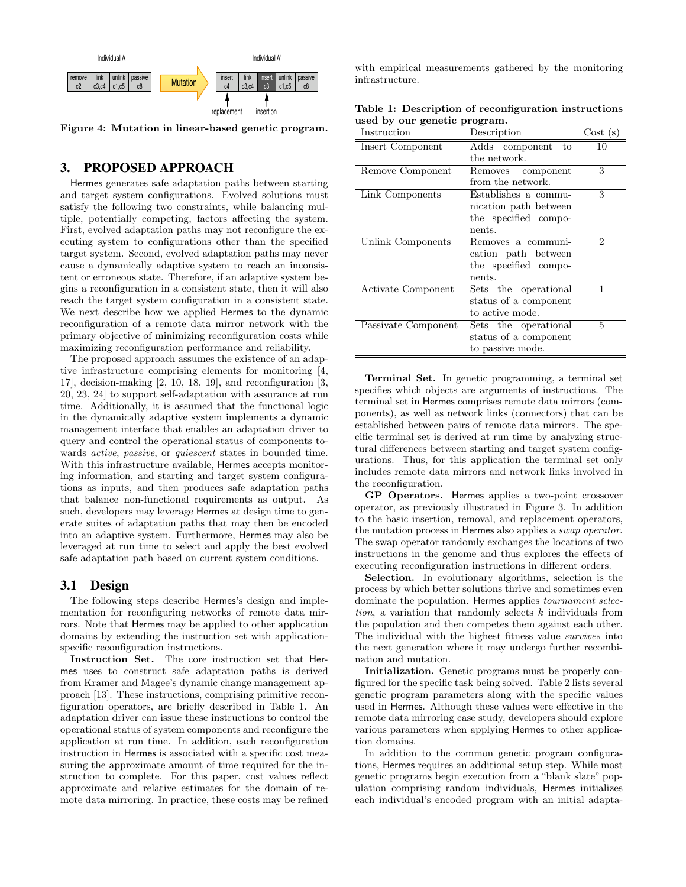

Figure 4: Mutation in linear-based genetic program.

## 3. PROPOSED APPROACH

Hermes generates safe adaptation paths between starting and target system configurations. Evolved solutions must satisfy the following two constraints, while balancing multiple, potentially competing, factors affecting the system. First, evolved adaptation paths may not reconfigure the executing system to configurations other than the specified target system. Second, evolved adaptation paths may never cause a dynamically adaptive system to reach an inconsistent or erroneous state. Therefore, if an adaptive system begins a reconfiguration in a consistent state, then it will also reach the target system configuration in a consistent state. We next describe how we applied Hermes to the dynamic reconfiguration of a remote data mirror network with the primary objective of minimizing reconfiguration costs while maximizing reconfiguration performance and reliability.

The proposed approach assumes the existence of an adaptive infrastructure comprising elements for monitoring [4, 17], decision-making [2, 10, 18, 19], and reconfiguration [3, 20, 23, 24] to support self-adaptation with assurance at run time. Additionally, it is assumed that the functional logic in the dynamically adaptive system implements a dynamic management interface that enables an adaptation driver to query and control the operational status of components towards active, passive, or quiescent states in bounded time. With this infrastructure available, Hermes accepts monitoring information, and starting and target system configurations as inputs, and then produces safe adaptation paths that balance non-functional requirements as output. As such, developers may leverage Hermes at design time to generate suites of adaptation paths that may then be encoded into an adaptive system. Furthermore, Hermes may also be leveraged at run time to select and apply the best evolved safe adaptation path based on current system conditions.

## 3.1 Design

The following steps describe Hermes's design and implementation for reconfiguring networks of remote data mirrors. Note that Hermes may be applied to other application domains by extending the instruction set with applicationspecific reconfiguration instructions.

Instruction Set. The core instruction set that Hermes uses to construct safe adaptation paths is derived from Kramer and Magee's dynamic change management approach [13]. These instructions, comprising primitive reconfiguration operators, are briefly described in Table 1. An adaptation driver can issue these instructions to control the operational status of system components and reconfigure the application at run time. In addition, each reconfiguration instruction in Hermes is associated with a specific cost measuring the approximate amount of time required for the instruction to complete. For this paper, cost values reflect approximate and relative estimates for the domain of remote data mirroring. In practice, these costs may be refined

with empirical measurements gathered by the monitoring infrastructure.

Table 1: Description of reconfiguration instructions used by our genetic program.

| Instruction         | Description           | Cost(s) |
|---------------------|-----------------------|---------|
| Insert Component    | Adds component<br>to  | 10      |
|                     | the network.          |         |
| Remove Component    | Removes component     | 3       |
|                     | from the network.     |         |
| Link Components     | Establishes a commu-  | 3       |
|                     | nication path between |         |
|                     | the specified compo-  |         |
|                     | nents.                |         |
| Unlink Components   | Removes a communi-    | 2       |
|                     | cation path between   |         |
|                     | the specified compo-  |         |
|                     | nents.                |         |
| Activate Component  | Sets the operational  | 1       |
|                     | status of a component |         |
|                     | to active mode.       |         |
| Passivate Component | Sets the operational  | 5       |
|                     | status of a component |         |
|                     | to passive mode.      |         |

Terminal Set. In genetic programming, a terminal set specifies which objects are arguments of instructions. The terminal set in Hermes comprises remote data mirrors (components), as well as network links (connectors) that can be established between pairs of remote data mirrors. The specific terminal set is derived at run time by analyzing structural differences between starting and target system configurations. Thus, for this application the terminal set only includes remote data mirrors and network links involved in the reconfiguration.

GP Operators. Hermes applies a two-point crossover operator, as previously illustrated in Figure 3. In addition to the basic insertion, removal, and replacement operators, the mutation process in Hermes also applies a swap operator. The swap operator randomly exchanges the locations of two instructions in the genome and thus explores the effects of executing reconfiguration instructions in different orders.

Selection. In evolutionary algorithms, selection is the process by which better solutions thrive and sometimes even dominate the population. Hermes applies tournament selection, a variation that randomly selects  $k$  individuals from the population and then competes them against each other. The individual with the highest fitness value survives into the next generation where it may undergo further recombination and mutation.

Initialization. Genetic programs must be properly configured for the specific task being solved. Table 2 lists several genetic program parameters along with the specific values used in Hermes. Although these values were effective in the remote data mirroring case study, developers should explore various parameters when applying Hermes to other application domains.

In addition to the common genetic program configurations, Hermes requires an additional setup step. While most genetic programs begin execution from a "blank slate" population comprising random individuals, Hermes initializes each individual's encoded program with an initial adapta-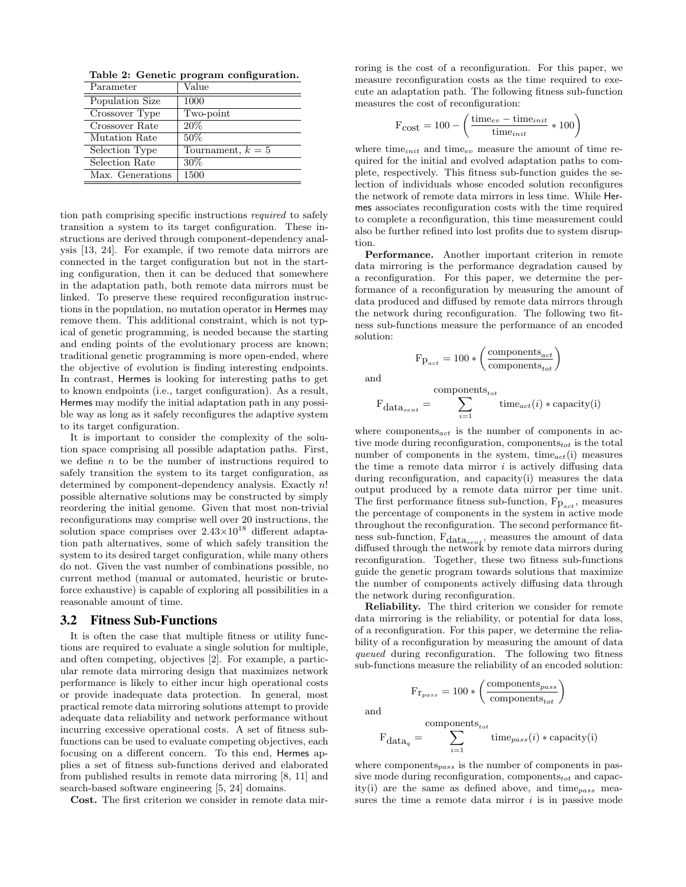Table 2: Genetic program configuration.

| Parameter        | Value             |
|------------------|-------------------|
| Population Size  | 1000              |
| Crossover Type   | Two-point         |
| Crossover Rate   | 20%               |
| Mutation Rate    | 50%               |
| Selection Type   | Tournament, $k=5$ |
| Selection Rate   | 30\%              |
| Max. Generations | 1500              |

tion path comprising specific instructions required to safely transition a system to its target configuration. These instructions are derived through component-dependency analysis [13, 24]. For example, if two remote data mirrors are connected in the target configuration but not in the starting configuration, then it can be deduced that somewhere in the adaptation path, both remote data mirrors must be linked. To preserve these required reconfiguration instructions in the population, no mutation operator in Hermes may remove them. This additional constraint, which is not typical of genetic programming, is needed because the starting and ending points of the evolutionary process are known; traditional genetic programming is more open-ended, where the objective of evolution is finding interesting endpoints. In contrast, Hermes is looking for interesting paths to get to known endpoints (i.e., target configuration). As a result, Hermes may modify the initial adaptation path in any possible way as long as it safely reconfigures the adaptive system to its target configuration.

It is important to consider the complexity of the solution space comprising all possible adaptation paths. First, we define  $n$  to be the number of instructions required to safely transition the system to its target configuration, as determined by component-dependency analysis. Exactly n! possible alternative solutions may be constructed by simply reordering the initial genome. Given that most non-trivial reconfigurations may comprise well over 20 instructions, the solution space comprises over  $2.43\times10^{18}$  different adaptation path alternatives, some of which safely transition the system to its desired target configuration, while many others do not. Given the vast number of combinations possible, no current method (manual or automated, heuristic or bruteforce exhaustive) is capable of exploring all possibilities in a reasonable amount of time.

#### 3.2 Fitness Sub-Functions

It is often the case that multiple fitness or utility functions are required to evaluate a single solution for multiple, and often competing, objectives [2]. For example, a particular remote data mirroring design that maximizes network performance is likely to either incur high operational costs or provide inadequate data protection. In general, most practical remote data mirroring solutions attempt to provide adequate data reliability and network performance without incurring excessive operational costs. A set of fitness subfunctions can be used to evaluate competing objectives, each focusing on a different concern. To this end, Hermes applies a set of fitness sub-functions derived and elaborated from published results in remote data mirroring [8, 11] and search-based software engineering [5, 24] domains.

Cost. The first criterion we consider in remote data mir-

roring is the cost of a reconfiguration. For this paper, we measure reconfiguration costs as the time required to execute an adaptation path. The following fitness sub-function measures the cost of reconfiguration:

$$
F_{\text{cost}} = 100 - \left(\frac{\text{time}_{ev} - \text{time}_{init}}{\text{time}_{init}} * 100\right)
$$

where time*init* and time*ev* measure the amount of time required for the initial and evolved adaptation paths to complete, respectively. This fitness sub-function guides the selection of individuals whose encoded solution reconfigures the network of remote data mirrors in less time. While Hermes associates reconfiguration costs with the time required to complete a reconfiguration, this time measurement could also be further refined into lost profits due to system disruption.

Performance. Another important criterion in remote data mirroring is the performance degradation caused by a reconfiguration. For this paper, we determine the performance of a reconfiguration by measuring the amount of data produced and diffused by remote data mirrors through the network during reconfiguration. The following two fitness sub-functions measure the performance of an encoded solution:

$$
\text{F}_{\text{P}_{act}} = 100 * \left( \frac{\text{components}_{act}}{\text{components}_{tot}} \right)
$$

and

$$
\mathbf{F}_{\text{data}_{sent}} = \sum_{i=1}^{\text{components}_{tot}} \text{time}_{act}(i) * \text{capacity}(i)
$$

where components*act* is the number of components in active mode during reconfiguration, components*tot* is the total number of components in the system, time*act*(i) measures the time a remote data mirror  $i$  is actively diffusing data during reconfiguration, and capacity(i) measures the data output produced by a remote data mirror per time unit. The first performance fitness sub-function,  $F_{p_{act}}$ , measures the percentage of components in the system in active mode throughout the reconfiguration. The second performance fitness sub-function,  $F_{\text{data}_{sent}}$ , measures the amount of data diffused through the network by remote data mirrors during reconfiguration. Together, these two fitness sub-functions guide the genetic program towards solutions that maximize the number of components actively diffusing data through the network during reconfiguration.

Reliability. The third criterion we consider for remote data mirroring is the reliability, or potential for data loss, of a reconfiguration. For this paper, we determine the reliability of a reconfiguration by measuring the amount of data queued during reconfiguration. The following two fitness sub-functions measure the reliability of an encoded solution:

and

$$
F_{r_{pass}} = 100 * \left(\frac{\text{components}_{pass}}{\text{components}_{tot}}\right)
$$

$$
F_{\text{data}_q} = \sum_{i=1}^{\text{components}_{tot}} \text{time}_{pass}(i) * \text{capacity}(i)
$$

where components*pass* is the number of components in passive mode during reconfiguration, components*tot* and capacity(i) are the same as defined above, and time*pass* measures the time a remote data mirror  $i$  is in passive mode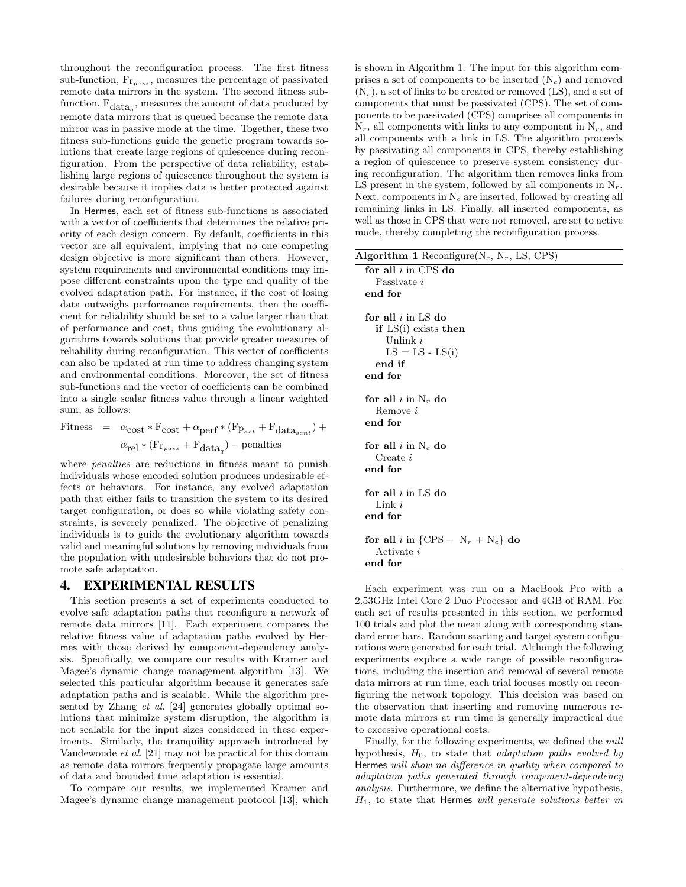throughout the reconfiguration process. The first fitness sub-function, Fr*pass* , measures the percentage of passivated remote data mirrors in the system. The second fitness subfunction,  $F_{data_q}$ , measures the amount of data produced by remote data mirrors that is queued because the remote data mirror was in passive mode at the time. Together, these two fitness sub-functions guide the genetic program towards solutions that create large regions of quiescence during reconfiguration. From the perspective of data reliability, establishing large regions of quiescence throughout the system is desirable because it implies data is better protected against failures during reconfiguration.

In Hermes, each set of fitness sub-functions is associated with a vector of coefficients that determines the relative priority of each design concern. By default, coefficients in this vector are all equivalent, implying that no one competing design objective is more significant than others. However, system requirements and environmental conditions may impose different constraints upon the type and quality of the evolved adaptation path. For instance, if the cost of losing data outweighs performance requirements, then the coefficient for reliability should be set to a value larger than that of performance and cost, thus guiding the evolutionary algorithms towards solutions that provide greater measures of reliability during reconfiguration. This vector of coefficients can also be updated at run time to address changing system and environmental conditions. Moreover, the set of fitness sub-functions and the vector of coefficients can be combined into a single scalar fitness value through a linear weighted sum, as follows:

$$
\begin{array}{lcl} \text { Fitness } & = & \alpha_{\text {cost}} * \text {F}_{\text {cost}} + \alpha_{\text {perf}} * \left(\text {F}_{\text {P}_{act}} + \text {F}_{\text {data}_{sent}}\right) + \\ & & \alpha_{\text {rel}} * \left(\text {F}_{\text {P}_{pass}} + \text {F}_{\text {data}_{q}}\right) - \text {penalties} \end{array}
$$

where *penalties* are reductions in fitness meant to punish individuals whose encoded solution produces undesirable effects or behaviors. For instance, any evolved adaptation path that either fails to transition the system to its desired target configuration, or does so while violating safety constraints, is severely penalized. The objective of penalizing individuals is to guide the evolutionary algorithm towards valid and meaningful solutions by removing individuals from the population with undesirable behaviors that do not promote safe adaptation.

#### 4. EXPERIMENTAL RESULTS

This section presents a set of experiments conducted to evolve safe adaptation paths that reconfigure a network of remote data mirrors [11]. Each experiment compares the relative fitness value of adaptation paths evolved by Hermes with those derived by component-dependency analysis. Specifically, we compare our results with Kramer and Magee's dynamic change management algorithm [13]. We selected this particular algorithm because it generates safe adaptation paths and is scalable. While the algorithm presented by Zhang *et al.* [24] generates globally optimal solutions that minimize system disruption, the algorithm is not scalable for the input sizes considered in these experiments. Similarly, the tranquility approach introduced by Vandewoude et al. [21] may not be practical for this domain as remote data mirrors frequently propagate large amounts of data and bounded time adaptation is essential.

To compare our results, we implemented Kramer and Magee's dynamic change management protocol [13], which is shown in Algorithm 1. The input for this algorithm comprises a set of components to be inserted (N*c*) and removed  $(N_r)$ , a set of links to be created or removed  $(LS)$ , and a set of components that must be passivated (CPS). The set of components to be passivated (CPS) comprises all components in  $N_r$ , all components with links to any component in  $N_r$ , and all components with a link in LS. The algorithm proceeds by passivating all components in CPS, thereby establishing a region of quiescence to preserve system consistency during reconfiguration. The algorithm then removes links from LS present in the system, followed by all components in  $N_r$ . Next, components in N*<sup>c</sup>* are inserted, followed by creating all remaining links in LS. Finally, all inserted components, as well as those in CPS that were not removed, are set to active mode, thereby completing the reconfiguration process.

| Algorithm 1 Reconfigure( $N_c$ , $N_r$ , LS, CPS)                               |
|---------------------------------------------------------------------------------|
| for all $i$ in CPS do                                                           |
| Passivate <i>i</i>                                                              |
| end for                                                                         |
| for all $i$ in LS do<br>if $LS(i)$ exists then<br>Unlink i<br>$LS = LS - LS(i)$ |
| end if                                                                          |
| end for                                                                         |
| for all i in $N_r$ do<br>Remove i<br>end for                                    |
| for all i in $N_c$ do<br>Create i<br>end for                                    |
| for all $i$ in LS do<br>Link i<br>end for                                       |
| for all i in $\{CPS - N_r + N_c\}$ do<br>Activate i<br>end for                  |

Each experiment was run on a MacBook Pro with a 2.53GHz Intel Core 2 Duo Processor and 4GB of RAM. For each set of results presented in this section, we performed 100 trials and plot the mean along with corresponding standard error bars. Random starting and target system configurations were generated for each trial. Although the following experiments explore a wide range of possible reconfigurations, including the insertion and removal of several remote data mirrors at run time, each trial focuses mostly on reconfiguring the network topology. This decision was based on the observation that inserting and removing numerous remote data mirrors at run time is generally impractical due to excessive operational costs.

Finally, for the following experiments, we defined the null hypothesis,  $H_0$ , to state that *adaptation paths evolved by* Hermes will show no difference in quality when compared to adaptation paths generated through component-dependency analysis. Furthermore, we define the alternative hypothesis,  $H_1$ , to state that Hermes will generate solutions better in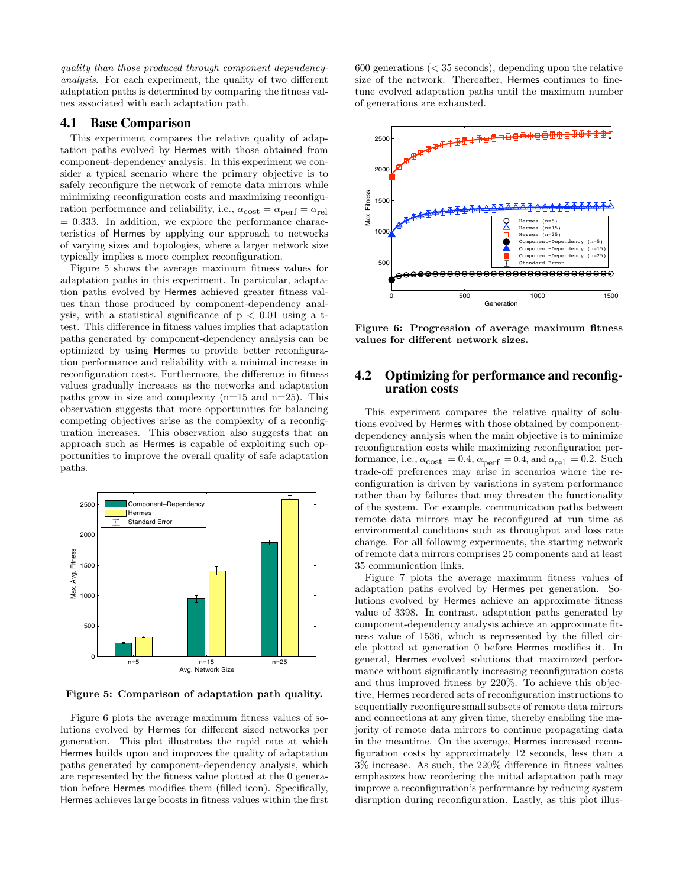quality than those produced through component dependencyanalysis. For each experiment, the quality of two different adaptation paths is determined by comparing the fitness values associated with each adaptation path.

#### 4.1 Base Comparison

This experiment compares the relative quality of adaptation paths evolved by Hermes with those obtained from component-dependency analysis. In this experiment we consider a typical scenario where the primary objective is to safely reconfigure the network of remote data mirrors while minimizing reconfiguration costs and maximizing reconfiguration performance and reliability, i.e.,  $\alpha_{\text{cost}} = \alpha_{\text{perf}} = \alpha_{\text{rel}}$  $= 0.333$ . In addition, we explore the performance characteristics of Hermes by applying our approach to networks of varying sizes and topologies, where a larger network size typically implies a more complex reconfiguration.

Figure 5 shows the average maximum fitness values for adaptation paths in this experiment. In particular, adaptation paths evolved by Hermes achieved greater fitness values than those produced by component-dependency analysis, with a statistical significance of  $p < 0.01$  using a ttest. This difference in fitness values implies that adaptation paths generated by component-dependency analysis can be optimized by using Hermes to provide better reconfiguration performance and reliability with a minimal increase in reconfiguration costs. Furthermore, the difference in fitness values gradually increases as the networks and adaptation paths grow in size and complexity  $(n=15 \text{ and } n=25)$ . This observation suggests that more opportunities for balancing competing objectives arise as the complexity of a reconfiguration increases. This observation also suggests that an approach such as Hermes is capable of exploiting such opportunities to improve the overall quality of safe adaptation paths.



Figure 5: Comparison of adaptation path quality.

Figure 6 plots the average maximum fitness values of solutions evolved by Hermes for different sized networks per generation. This plot illustrates the rapid rate at which Hermes builds upon and improves the quality of adaptation paths generated by component-dependency analysis, which are represented by the fitness value plotted at the 0 generation before Hermes modifies them (filled icon). Specifically, Hermes achieves large boosts in fitness values within the first

600 generations ( $\lt$  35 seconds), depending upon the relative size of the network. Thereafter, Hermes continues to finetune evolved adaptation paths until the maximum number of generations are exhausted.



Figure 6: Progression of average maximum fitness values for different network sizes.

# 4.2 Optimizing for performance and reconfiguration costs

This experiment compares the relative quality of solutions evolved by Hermes with those obtained by componentdependency analysis when the main objective is to minimize reconfiguration costs while maximizing reconfiguration performance, i.e.,  $\alpha_{\text{cost}} = 0.4$ ,  $\alpha_{\text{perf}} = 0.4$ , and  $\alpha_{\text{rel}} = 0.2$ . Such trade-off preferences may arise in scenarios where the reconfiguration is driven by variations in system performance rather than by failures that may threaten the functionality of the system. For example, communication paths between remote data mirrors may be reconfigured at run time as environmental conditions such as throughput and loss rate change. For all following experiments, the starting network of remote data mirrors comprises 25 components and at least 35 communication links.

Figure 7 plots the average maximum fitness values of adaptation paths evolved by Hermes per generation. Solutions evolved by Hermes achieve an approximate fitness value of 3398. In contrast, adaptation paths generated by component-dependency analysis achieve an approximate fitness value of 1536, which is represented by the filled circle plotted at generation 0 before Hermes modifies it. In general, Hermes evolved solutions that maximized performance without significantly increasing reconfiguration costs and thus improved fitness by 220%. To achieve this objective, Hermes reordered sets of reconfiguration instructions to sequentially reconfigure small subsets of remote data mirrors and connections at any given time, thereby enabling the majority of remote data mirrors to continue propagating data in the meantime. On the average, Hermes increased reconfiguration costs by approximately 12 seconds, less than a 3% increase. As such, the 220% difference in fitness values emphasizes how reordering the initial adaptation path may improve a reconfiguration's performance by reducing system disruption during reconfiguration. Lastly, as this plot illus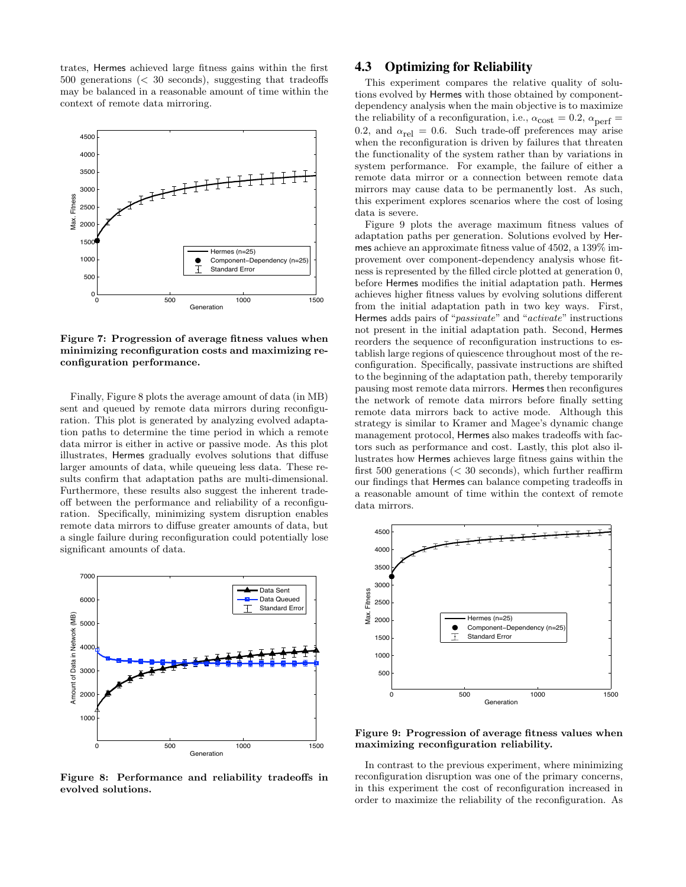trates, Hermes achieved large fitness gains within the first 500 generations  $\langle \langle 30 \rangle$  seconds), suggesting that tradeoffs may be balanced in a reasonable amount of time within the context of remote data mirroring.



Figure 7: Progression of average fitness values when minimizing reconfiguration costs and maximizing reconfiguration performance.

Finally, Figure 8 plots the average amount of data (in MB) sent and queued by remote data mirrors during reconfiguration. This plot is generated by analyzing evolved adaptation paths to determine the time period in which a remote data mirror is either in active or passive mode. As this plot illustrates, Hermes gradually evolves solutions that diffuse larger amounts of data, while queueing less data. These results confirm that adaptation paths are multi-dimensional. Furthermore, these results also suggest the inherent tradeoff between the performance and reliability of a reconfiguration. Specifically, minimizing system disruption enables remote data mirrors to diffuse greater amounts of data, but a single failure during reconfiguration could potentially lose significant amounts of data.



Figure 8: Performance and reliability tradeoffs in evolved solutions.

# 4.3 Optimizing for Reliability

This experiment compares the relative quality of solutions evolved by Hermes with those obtained by componentdependency analysis when the main objective is to maximize the reliability of a reconfiguration, i.e.,  $\alpha_{\text{cost}} = 0.2$ ,  $\alpha_{\text{perf}} =$ 0.2, and  $\alpha_{rel} = 0.6$ . Such trade-off preferences may arise when the reconfiguration is driven by failures that threaten the functionality of the system rather than by variations in system performance. For example, the failure of either a remote data mirror or a connection between remote data mirrors may cause data to be permanently lost. As such, this experiment explores scenarios where the cost of losing data is severe.

Figure 9 plots the average maximum fitness values of adaptation paths per generation. Solutions evolved by Hermes achieve an approximate fitness value of 4502, a 139% improvement over component-dependency analysis whose fitness is represented by the filled circle plotted at generation 0, before Hermes modifies the initial adaptation path. Hermes achieves higher fitness values by evolving solutions different from the initial adaptation path in two key ways. First, Hermes adds pairs of "*passivate*" and "*activate*" instructions not present in the initial adaptation path. Second, Hermes reorders the sequence of reconfiguration instructions to establish large regions of quiescence throughout most of the reconfiguration. Specifically, passivate instructions are shifted to the beginning of the adaptation path, thereby temporarily pausing most remote data mirrors. Hermes then reconfigures the network of remote data mirrors before finally setting remote data mirrors back to active mode. Although this strategy is similar to Kramer and Magee's dynamic change management protocol, Hermes also makes tradeoffs with factors such as performance and cost. Lastly, this plot also illustrates how Hermes achieves large fitness gains within the first 500 generations  $\langle \langle 30 \rangle$  seconds), which further reaffirm our findings that Hermes can balance competing tradeoffs in a reasonable amount of time within the context of remote data mirrors.



Figure 9: Progression of average fitness values when maximizing reconfiguration reliability.

In contrast to the previous experiment, where minimizing reconfiguration disruption was one of the primary concerns, in this experiment the cost of reconfiguration increased in order to maximize the reliability of the reconfiguration. As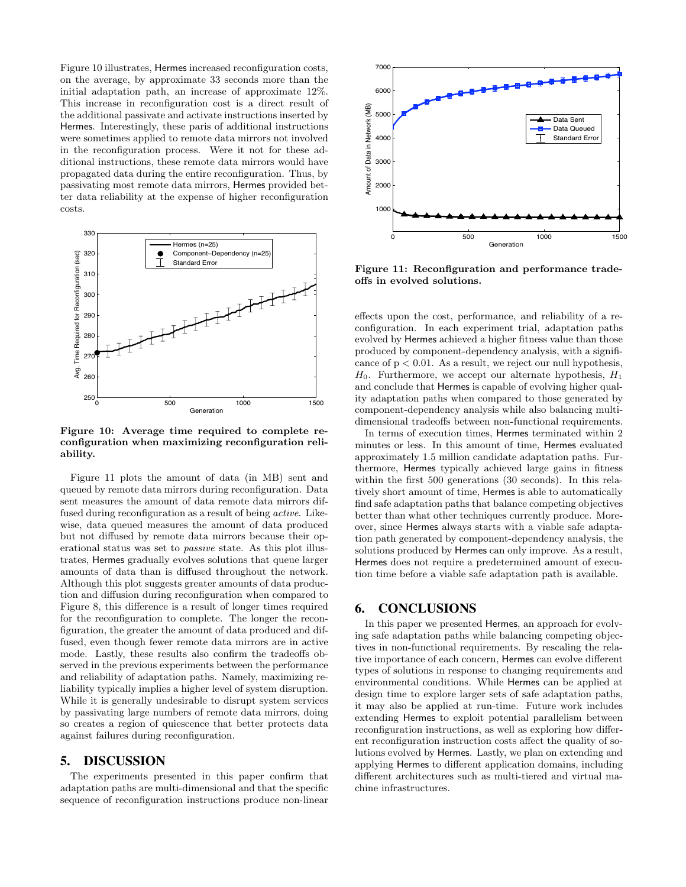Figure 10 illustrates, Hermes increased reconfiguration costs, on the average, by approximate 33 seconds more than the initial adaptation path, an increase of approximate 12%. This increase in reconfiguration cost is a direct result of the additional passivate and activate instructions inserted by Hermes. Interestingly, these paris of additional instructions were sometimes applied to remote data mirrors not involved in the reconfiguration process. Were it not for these additional instructions, these remote data mirrors would have propagated data during the entire reconfiguration. Thus, by passivating most remote data mirrors, Hermes provided better data reliability at the expense of higher reconfiguration costs.



Figure 10: Average time required to complete reconfiguration when maximizing reconfiguration reliability.

Figure 11 plots the amount of data (in MB) sent and queued by remote data mirrors during reconfiguration. Data sent measures the amount of data remote data mirrors diffused during reconfiguration as a result of being active. Likewise, data queued measures the amount of data produced but not diffused by remote data mirrors because their operational status was set to passive state. As this plot illustrates, Hermes gradually evolves solutions that queue larger amounts of data than is diffused throughout the network. Although this plot suggests greater amounts of data production and diffusion during reconfiguration when compared to Figure 8, this difference is a result of longer times required for the reconfiguration to complete. The longer the reconfiguration, the greater the amount of data produced and diffused, even though fewer remote data mirrors are in active mode. Lastly, these results also confirm the tradeoffs observed in the previous experiments between the performance and reliability of adaptation paths. Namely, maximizing reliability typically implies a higher level of system disruption. While it is generally undesirable to disrupt system services by passivating large numbers of remote data mirrors, doing so creates a region of quiescence that better protects data against failures during reconfiguration.

#### 5. DISCUSSION

The experiments presented in this paper confirm that adaptation paths are multi-dimensional and that the specific sequence of reconfiguration instructions produce non-linear



Figure 11: Reconfiguration and performance tradeoffs in evolved solutions.

effects upon the cost, performance, and reliability of a reconfiguration. In each experiment trial, adaptation paths evolved by Hermes achieved a higher fitness value than those produced by component-dependency analysis, with a significance of  $p < 0.01$ . As a result, we reject our null hypothesis,  $H_0$ . Furthermore, we accept our alternate hypothesis,  $H_1$ and conclude that Hermes is capable of evolving higher quality adaptation paths when compared to those generated by component-dependency analysis while also balancing multidimensional tradeoffs between non-functional requirements.

In terms of execution times, Hermes terminated within 2 minutes or less. In this amount of time, Hermes evaluated approximately 1.5 million candidate adaptation paths. Furthermore, Hermes typically achieved large gains in fitness within the first 500 generations (30 seconds). In this relatively short amount of time, Hermes is able to automatically find safe adaptation paths that balance competing objectives better than what other techniques currently produce. Moreover, since Hermes always starts with a viable safe adaptation path generated by component-dependency analysis, the solutions produced by Hermes can only improve. As a result, Hermes does not require a predetermined amount of execution time before a viable safe adaptation path is available.

# 6. CONCLUSIONS

In this paper we presented Hermes, an approach for evolving safe adaptation paths while balancing competing objectives in non-functional requirements. By rescaling the relative importance of each concern, Hermes can evolve different types of solutions in response to changing requirements and environmental conditions. While Hermes can be applied at design time to explore larger sets of safe adaptation paths, it may also be applied at run-time. Future work includes extending Hermes to exploit potential parallelism between reconfiguration instructions, as well as exploring how different reconfiguration instruction costs affect the quality of solutions evolved by Hermes. Lastly, we plan on extending and applying Hermes to different application domains, including different architectures such as multi-tiered and virtual machine infrastructures.